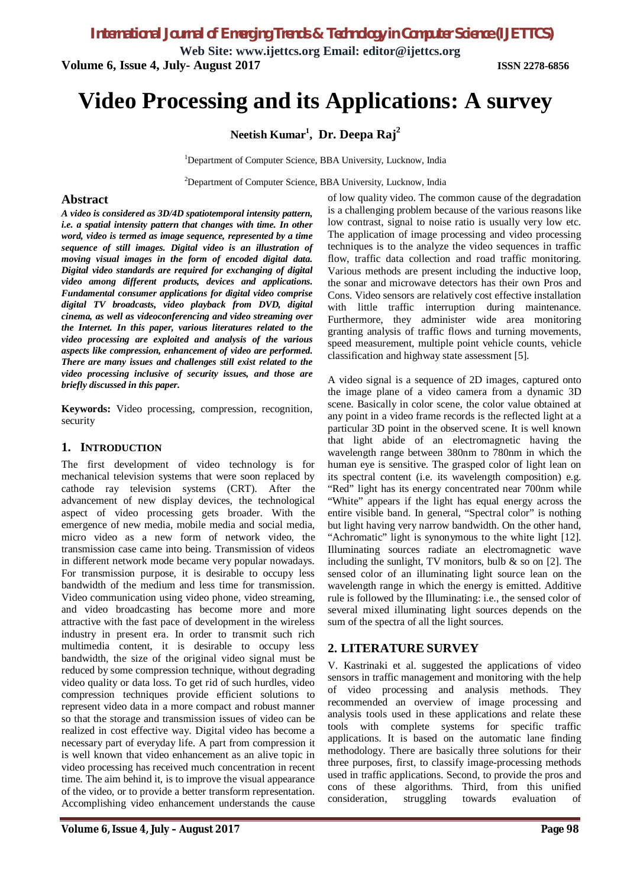*International Journal of Emerging Trends & Technology in Computer Science (IJETTCS)*

**Web Site: www.ijettcs.org Email: editor@ijettcs.org Volume 6, Issue 4, July- August 2017 ISSN 2278-6856**

# **Video Processing and its Applications: A survey**

**Neetish Kumar<sup>1</sup> , Dr. Deepa Raj<sup>2</sup>**

<sup>1</sup>Department of Computer Science, BBA University, Lucknow, India

<sup>2</sup>Department of Computer Science, BBA University, Lucknow, India

#### **Abstract**

*A video is considered as 3D/4D spatiotemporal intensity pattern, i.e. a spatial intensity pattern that changes with time. In other word, video is termed as image sequence, represented by a time sequence of still images. Digital video is an illustration of moving visual images in the form of encoded digital data. Digital video standards are required for exchanging of digital video among different products, devices and applications. Fundamental consumer applications for digital video comprise digital TV broadcasts, video playback from DVD, digital cinema, as well as videoconferencing and video streaming over the Internet. In this paper, various literatures related to the video processing are exploited and analysis of the various aspects like compression, enhancement of video are performed. There are many issues and challenges still exist related to the video processing inclusive of security issues, and those are briefly discussed in this paper.*

**Keywords:** Video processing, compression, recognition, security

#### **1. INTRODUCTION**

The first development of video technology is for mechanical television systems that were soon replaced by cathode ray television systems (CRT). After the advancement of new display devices, the technological aspect of video processing gets broader. With the emergence of new media, mobile media and social media, micro video as a new form of network video, the transmission case came into being. Transmission of videos in different network mode became very popular nowadays. For transmission purpose, it is desirable to occupy less bandwidth of the medium and less time for transmission. Video communication using video phone, video streaming, and video broadcasting has become more and more attractive with the fast pace of development in the wireless industry in present era. In order to transmit such rich multimedia content, it is desirable to occupy less bandwidth, the size of the original video signal must be reduced by some compression technique, without degrading video quality or data loss. To get rid of such hurdles, video compression techniques provide efficient solutions to represent video data in a more compact and robust manner so that the storage and transmission issues of video can be realized in cost effective way. Digital video has become a necessary part of everyday life. A part from compression it is well known that video enhancement as an alive topic in video processing has received much concentration in recent time. The aim behind it, is to improve the visual appearance of the video, or to provide a better transform representation. Accomplishing video enhancement understands the cause

of low quality video. The common cause of the degradation is a challenging problem because of the various reasons like low contrast, signal to noise ratio is usually very low etc. The application of image processing and video processing techniques is to the analyze the video sequences in traffic flow, traffic data collection and road traffic monitoring. Various methods are present including the inductive loop, the sonar and microwave detectors has their own Pros and Cons. Video sensors are relatively cost effective installation with little traffic interruption during maintenance. Furthermore, they administer wide area monitoring granting analysis of traffic flows and turning movements, speed measurement, multiple point vehicle counts, vehicle classification and highway state assessment [5].

A video signal is a sequence of 2D images, captured onto the image plane of a video camera from a dynamic 3D scene. Basically in color scene, the color value obtained at any point in a video frame records is the reflected light at a particular 3D point in the observed scene. It is well known that light abide of an electromagnetic having the wavelength range between 380nm to 780nm in which the human eye is sensitive. The grasped color of light lean on its spectral content (i.e. its wavelength composition) e.g. "Red" light has its energy concentrated near 700nm while "White" appears if the light has equal energy across the entire visible band. In general, "Spectral color" is nothing but light having very narrow bandwidth. On the other hand, "Achromatic" light is synonymous to the white light [12]. Illuminating sources radiate an electromagnetic wave including the sunlight, TV monitors, bulb  $\&$  so on [2]. The sensed color of an illuminating light source lean on the wavelength range in which the energy is emitted. Additive rule is followed by the Illuminating: i.e., the sensed color of several mixed illuminating light sources depends on the sum of the spectra of all the light sources.

### **2. LITERATURE SURVEY**

V. Kastrinaki et al. suggested the applications of video sensors in traffic management and monitoring with the help of video processing and analysis methods. They recommended an overview of image processing and analysis tools used in these applications and relate these tools with complete systems for specific traffic applications. It is based on the automatic lane finding methodology. There are basically three solutions for their three purposes, first, to classify image-processing methods used in traffic applications. Second, to provide the pros and cons of these algorithms. Third, from this unified consideration, struggling towards evaluation of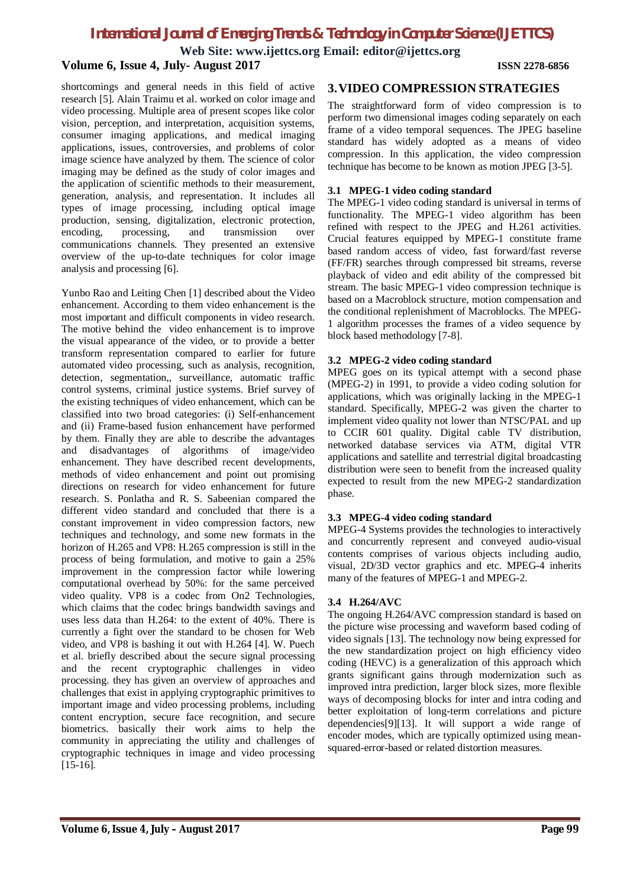# *International Journal of Emerging Trends & Technology in Computer Science (IJETTCS)*

**Web Site: www.ijettcs.org Email: editor@ijettcs.org**

#### **Volume 6, Issue 4, July- August 2017 ISSN 2278-6856**

shortcomings and general needs in this field of active research [5]. Alain Traimu et al. worked on color image and video processing. Multiple area of present scopes like color vision, perception, and interpretation, acquisition systems, consumer imaging applications, and medical imaging applications, issues, controversies, and problems of color image science have analyzed by them. The science of color imaging may be defined as the study of color images and the application of scientific methods to their measurement, generation, analysis, and representation. It includes all types of image processing, including optical image production, sensing, digitalization, electronic protection, encoding, processing, and transmission over communications channels. They presented an extensive overview of the up-to-date techniques for color image analysis and processing [6].

Yunbo Rao and Leiting Chen [1] described about the Video enhancement. According to them video enhancement is the most important and difficult components in video research. The motive behind the video enhancement is to improve the visual appearance of the video, or to provide a better transform representation compared to earlier for future automated video processing, such as analysis, recognition, detection, segmentation,, surveillance, automatic traffic control systems, criminal justice systems. Brief survey of the existing techniques of video enhancement, which can be classified into two broad categories: (i) Self-enhancement and (ii) Frame-based fusion enhancement have performed by them. Finally they are able to describe the advantages and disadvantages of algorithms of image/video enhancement. They have described recent developments, methods of video enhancement and point out promising directions on research for video enhancement for future research. S. Ponlatha and R. S. Sabeenian compared the different video standard and concluded that there is a constant improvement in video compression factors, new techniques and technology, and some new formats in the horizon of H.265 and VP8: H.265 compression is still in the process of being formulation, and motive to gain a 25% improvement in the compression factor while lowering computational overhead by 50%: for the same perceived video quality. VP8 is a codec from On2 Technologies, which claims that the codec brings bandwidth savings and uses less data than H.264: to the extent of 40%. There is currently a fight over the standard to be chosen for Web video, and VP8 is bashing it out with H.264 [4]. W. Puech et al. briefly described about the secure signal processing and the recent cryptographic challenges in video processing. they has given an overview of approaches and challenges that exist in applying cryptographic primitives to important image and video processing problems, including content encryption, secure face recognition, and secure biometrics. basically their work aims to help the community in appreciating the utility and challenges of cryptographic techniques in image and video processing [15-16].

#### **3.VIDEO COMPRESSION STRATEGIES**

The straightforward form of video compression is to perform two dimensional images coding separately on each frame of a video temporal sequences. The JPEG baseline standard has widely adopted as a means of video compression. In this application, the video compression technique has become to be known as motion JPEG [3-5].

#### **3.1 MPEG-1 video coding standard**

The MPEG-1 video coding standard is universal in terms of functionality. The MPEG-1 video algorithm has been refined with respect to the JPEG and H.261 activities. Crucial features equipped by MPEG-1 constitute frame based random access of video, fast forward/fast reverse (FF/FR) searches through compressed bit streams, reverse playback of video and edit ability of the compressed bit stream. The basic MPEG-1 video compression technique is based on a Macroblock structure, motion compensation and the conditional replenishment of Macroblocks. The MPEG-1 algorithm processes the frames of a video sequence by block based methodology [7-8].

#### **3.2 MPEG-2 video coding standard**

MPEG goes on its typical attempt with a second phase (MPEG-2) in 1991, to provide a video coding solution for applications, which was originally lacking in the MPEG-1 standard. Specifically, MPEG-2 was given the charter to implement video quality not lower than NTSC/PAL and up to CCIR 601 quality. Digital cable TV distribution, networked database services via ATM, digital VTR applications and satellite and terrestrial digital broadcasting distribution were seen to benefit from the increased quality expected to result from the new MPEG-2 standardization phase.

#### **3.3 MPEG-4 video coding standard**

MPEG-4 Systems provides the technologies to interactively and concurrently represent and conveyed audio-visual contents comprises of various objects including audio, visual, 2D/3D vector graphics and etc. MPEG-4 inherits many of the features of MPEG-1 and MPEG-2.

#### **3.4 H.264/AVC**

The ongoing H.264/AVC compression standard is based on the picture wise processing and waveform based coding of video signals [13]. The technology now being expressed for the new standardization project on high efficiency video coding (HEVC) is a generalization of this approach which grants significant gains through modernization such as improved intra prediction, larger block sizes, more flexible ways of decomposing blocks for inter and intra coding and better exploitation of long-term correlations and picture dependencies[9][13]. It will support a wide range of encoder modes, which are typically optimized using meansquared-error-based or related distortion measures.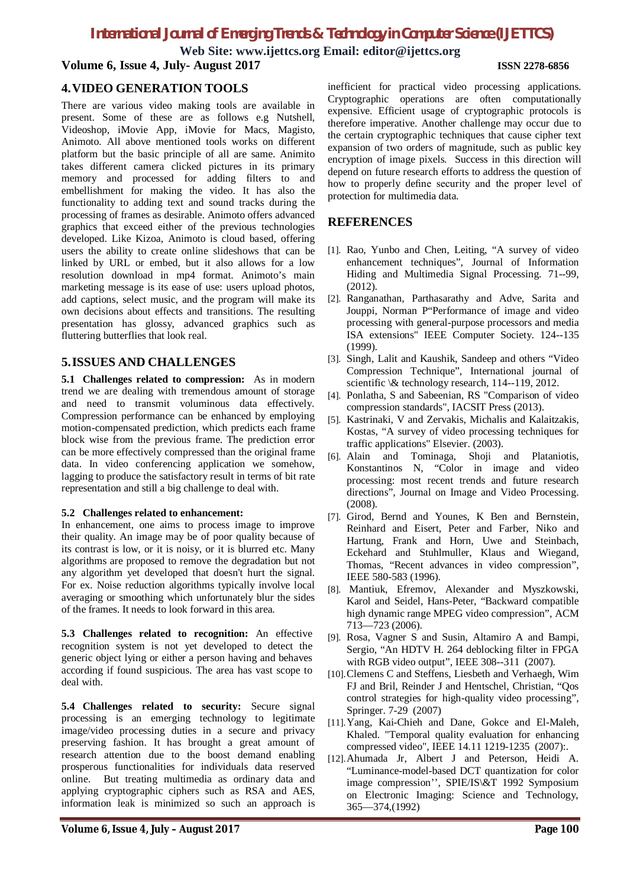# *International Journal of Emerging Trends & Technology in Computer Science (IJETTCS)*

**Web Site: www.ijettcs.org Email: editor@ijettcs.org Volume 6, Issue 4, July- August 2017 ISSN 2278-6856**

### **4.VIDEO GENERATION TOOLS**

There are various video making tools are available in present. Some of these are as follows e.g Nutshell, Videoshop, iMovie App, iMovie for Macs, Magisto, Animoto. All above mentioned tools works on different platform but the basic principle of all are same. Animito takes different camera clicked pictures in its primary memory and processed for adding filters to and embellishment for making the video. It has also the functionality to adding text and sound tracks during the processing of frames as desirable. Animoto offers advanced graphics that exceed either of the previous technologies developed. Like Kizoa, Animoto is cloud based, offering users the ability to create online slideshows that can be linked by URL or embed, but it also allows for a low resolution download in mp4 format. Animoto's main marketing message is its ease of use: users upload photos, add captions, select music, and the program will make its own decisions about effects and transitions. The resulting presentation has glossy, advanced graphics such as fluttering butterflies that look real.

#### **5.ISSUES AND CHALLENGES**

**5.1 Challenges related to compression:** As in modern trend we are dealing with tremendous amount of storage and need to transmit voluminous data effectively. Compression performance can be enhanced by employing motion-compensated prediction, which predicts each frame block wise from the previous frame. The prediction error can be more effectively compressed than the original frame data. In video conferencing application we somehow, lagging to produce the satisfactory result in terms of bit rate representation and still a big challenge to deal with.

#### **5.2 Challenges related to enhancement:**

In enhancement, one aims to process image to improve their quality. An image may be of poor quality because of its contrast is low, or it is noisy, or it is blurred etc. Many algorithms are proposed to remove the degradation but not any algorithm yet developed that doesn't hurt the signal. For ex. Noise reduction algorithms typically involve local averaging or smoothing which unfortunately blur the sides of the frames. It needs to look forward in this area.

**5.3 Challenges related to recognition:** An effective recognition system is not yet developed to detect the generic object lying or either a person having and behaves according if found suspicious. The area has vast scope to deal with.

**5.4 Challenges related to security:** Secure signal processing is an emerging technology to legitimate image/video processing duties in a secure and privacy preserving fashion. It has brought a great amount of research attention due to the boost demand enabling prosperous functionalities for individuals data reserved online. But treating multimedia as ordinary data and applying cryptographic ciphers such as RSA and AES, information leak is minimized so such an approach is

inefficient for practical video processing applications. Cryptographic operations are often computationally expensive. Efficient usage of cryptographic protocols is therefore imperative. Another challenge may occur due to the certain cryptographic techniques that cause cipher text expansion of two orders of magnitude, such as public key encryption of image pixels. Success in this direction will depend on future research efforts to address the question of how to properly define security and the proper level of protection for multimedia data.

### **REFERENCES**

- [1]. Rao, Yunbo and Chen, Leiting, "A survey of video enhancement techniques", Journal of Information Hiding and Multimedia Signal Processing. 71--99, (2012).
- [2]. Ranganathan, Parthasarathy and Adve, Sarita and Jouppi, Norman P"Performance of image and video processing with general-purpose processors and media ISA extensions" IEEE Computer Society. 124--135 (1999).
- [3]. Singh, Lalit and Kaushik, Sandeep and others "Video Compression Technique", International journal of scientific \& technology research, 114--119, 2012.
- [4]. Ponlatha, S and Sabeenian, RS "Comparison of video compression standards", IACSIT Press (2013).
- [5]. Kastrinaki, V and Zervakis, Michalis and Kalaitzakis, Kostas, "A survey of video processing techniques for traffic applications" Elsevier. (2003).
- [6]. Alain and Tominaga, Shoji and Plataniotis, Konstantinos N, "Color in image and video processing: most recent trends and future research directions", Journal on Image and Video Processing. (2008).
- [7]. Girod, Bernd and Younes, K Ben and Bernstein, Reinhard and Eisert, Peter and Farber, Niko and Hartung, Frank and Horn, Uwe and Steinbach, Eckehard and Stuhlmuller, Klaus and Wiegand, Thomas, "Recent advances in video compression", IEEE 580-583 (1996).
- [8]. Mantiuk, Efremov, Alexander and Myszkowski, Karol and Seidel, Hans-Peter, "Backward compatible high dynamic range MPEG video compression", ACM 713—723 (2006).
- [9]. Rosa, Vagner S and Susin, Altamiro A and Bampi, Sergio, "An HDTV H. 264 deblocking filter in FPGA with RGB video output", IEEE 308--311 (2007).
- [10].Clemens C and Steffens, Liesbeth and Verhaegh, Wim FJ and Bril, Reinder J and Hentschel, Christian, "Qos control strategies for high-quality video processing", Springer. 7-29 (2007)
- [11].Yang, Kai-Chieh and Dane, Gokce and El-Maleh, Khaled. "Temporal quality evaluation for enhancing compressed video", IEEE 14.11 1219-1235 (2007):.
- [12].Ahumada Jr, Albert J and Peterson, Heidi A. "Luminance-model-based DCT quantization for color image compression'', SPIE/IS\&T 1992 Symposium on Electronic Imaging: Science and Technology, 365—374,(1992)